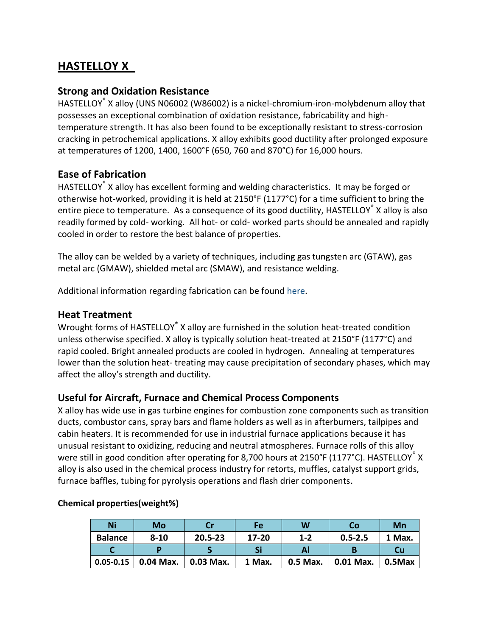# **HASTELLOY X**

### **Strong and Oxidation Resistance**

HASTELLOY® X alloy (UNS N06002 (W86002) is a nickel-chromium-iron-molybdenum alloy that possesses an exceptional combination of oxidation resistance, fabricability and hightemperature strength. It has also been found to be exceptionally resistant to stress-corrosion cracking in petrochemical applications. X alloy exhibits good ductility after prolonged exposure at temperatures of 1200, 1400, 1600°F (650, 760 and 870°C) for 16,000 hours.

## **Ease of Fabrication**

HASTELLOY<sup>®</sup> X alloy has excellent forming and welding characteristics. It may be forged or otherwise hot-worked, providing it is held at 2150°F (1177°C) for a time sufficient to bring the entire piece to temperature. As a consequence of its good ductility, HASTELLOY<sup>®</sup> X alloy is also readily formed by cold- working. All hot- or cold- worked parts should be annealed and rapidly cooled in order to restore the best balance of properties.

The alloy can be welded by a variety of techniques, including gas tungsten arc (GTAW), gas metal arc (GMAW), shielded metal arc (SMAW), and resistance welding.

Additional information regarding fabrication can be found [here.](http://www.haynesintl.com/alloys/fabrication-brochure)

### **Heat Treatment**

Wrought forms of HASTELLOY<sup>®</sup> X alloy are furnished in the solution heat-treated condition unless otherwise specified. X alloy is typically solution heat-treated at 2150°F (1177°C) and rapid cooled. Bright annealed products are cooled in hydrogen. Annealing at temperatures lower than the solution heat- treating may cause precipitation of secondary phases, which may affect the alloy's strength and ductility.

#### **Useful for Aircraft, Furnace and Chemical Process Components**

X alloy has wide use in gas turbine engines for combustion zone components such as transition ducts, combustor cans, spray bars and flame holders as well as in afterburners, tailpipes and cabin heaters. It is recommended for use in industrial furnace applications because it has unusual resistant to oxidizing, reducing and neutral atmospheres. Furnace rolls of this alloy were still in good condition after operating for 8,700 hours at 2150°F (1177°C). HASTELLOY $\degree$  X alloy is also used in the chemical process industry for retorts, muffles, catalyst support grids, furnace baffles, tubing for pyrolysis operations and flash drier components.

| <b>Ni</b>      | Mo          | Cr          | Fe        | W        | Co          | Mn            |
|----------------|-------------|-------------|-----------|----------|-------------|---------------|
| <b>Balance</b> | $8 - 10$    | $20.5 - 23$ | $17 - 20$ | $1 - 2$  | $0.5 - 2.5$ | 1 Max.        |
|                |             |             | Si        |          |             | Cu            |
| $0.05 - 0.15$  | $0.04$ Max. | 0.03 Max.   | 1 Max.    | 0.5 Max. | 0.01 Max.   | $\mid$ 0.5Max |

#### **Chemical properties(weight%)**